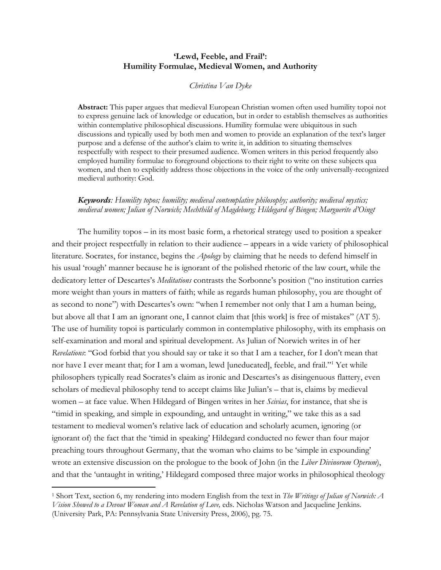# **'Lewd, Feeble, and Frail': Humility Formulae, Medieval Women, and Authority**

#### *Christina Van Dyke*

**Abstract:** This paper argues that medieval European Christian women often used humility topoi not to express genuine lack of knowledge or education, but in order to establish themselves as authorities within contemplative philosophical discussions. Humility formulae were ubiquitous in such discussions and typically used by both men and women to provide an explanation of the text's larger purpose and a defense of the author's claim to write it, in addition to situating themselves respectfully with respect to their presumed audience. Women writers in this period frequently also employed humility formulae to foreground objections to their right to write on these subjects qua women, and then to explicitly address those objections in the voice of the only universally-recognized medieval authority: God.

## *Keywords: Humility topos; humility; medieval contemplative philosophy; authority; medieval mystics; medieval women; Julian of Norwich; Mechthild of Magdeburg; Hildegard of Bingen; Marguerite d'Oingt*

The humility topos – in its most basic form, a rhetorical strategy used to position a speaker and their project respectfully in relation to their audience – appears in a wide variety of philosophical literature. Socrates, for instance, begins the *Apology* by claiming that he needs to defend himself in his usual 'rough' manner because he is ignorant of the polished rhetoric of the law court, while the dedicatory letter of Descartes's *Meditations* contrasts the Sorbonne's position ("no institution carries more weight than yours in matters of faith; while as regards human philosophy, you are thought of as second to none") with Descartes's own: "when I remember not only that I am a human being, but above all that I am an ignorant one, I cannot claim that [this work] is free of mistakes" (AT 5). The use of humility topoi is particularly common in contemplative philosophy, with its emphasis on self-examination and moral and spiritual development. As Julian of Norwich writes in of her *Revelations*: "God forbid that you should say or take it so that I am a teacher, for I don't mean that nor have I ever meant that; for I am a woman, lewd [uneducated], feeble, and frail."1 Yet while philosophers typically read Socrates's claim as ironic and Descartes's as disingenuous flattery, even scholars of medieval philosophy tend to accept claims like Julian's – that is, claims by medieval women – at face value. When Hildegard of Bingen writes in her *Scivias*, for instance, that she is "timid in speaking, and simple in expounding, and untaught in writing," we take this as a sad testament to medieval women's relative lack of education and scholarly acumen, ignoring (or ignorant of) the fact that the 'timid in speaking' Hildegard conducted no fewer than four major preaching tours throughout Germany, that the woman who claims to be 'simple in expounding' wrote an extensive discussion on the prologue to the book of John (in the *Liber Divinorum Operum*), and that the 'untaught in writing,' Hildegard composed three major works in philosophical theology

<sup>1</sup> Short Text, section 6, my rendering into modern English from the text in *The Writings of Julian of Norwich: A Vision Showed to a Devout Woman and A Revelation of Love,* eds. Nicholas Watson and Jacqueline Jenkins.

<sup>(</sup>University Park, PA: Pennsylvania State University Press, 2006), pg. 75.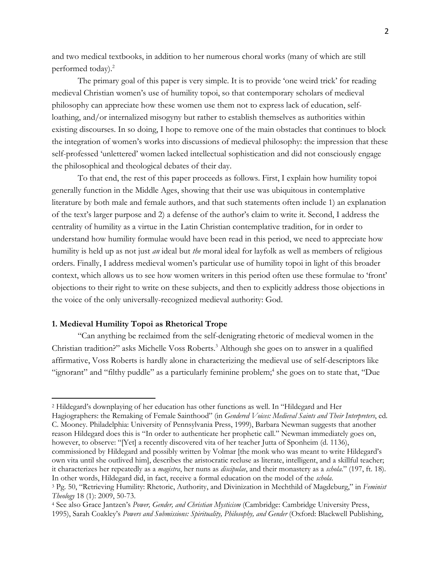and two medical textbooks, in addition to her numerous choral works (many of which are still performed today). 2

The primary goal of this paper is very simple. It is to provide 'one weird trick' for reading medieval Christian women's use of humility topoi, so that contemporary scholars of medieval philosophy can appreciate how these women use them not to express lack of education, selfloathing, and/or internalized misogyny but rather to establish themselves as authorities within existing discourses. In so doing, I hope to remove one of the main obstacles that continues to block the integration of women's works into discussions of medieval philosophy: the impression that these self-professed 'unlettered' women lacked intellectual sophistication and did not consciously engage the philosophical and theological debates of their day.

To that end, the rest of this paper proceeds as follows. First, I explain how humility topoi generally function in the Middle Ages, showing that their use was ubiquitous in contemplative literature by both male and female authors, and that such statements often include 1) an explanation of the text's larger purpose and 2) a defense of the author's claim to write it. Second, I address the centrality of humility as a virtue in the Latin Christian contemplative tradition, for in order to understand how humility formulae would have been read in this period, we need to appreciate how humility is held up as not just *an* ideal but *the* moral ideal for layfolk as well as members of religious orders. Finally, I address medieval women's particular use of humility topoi in light of this broader context, which allows us to see how women writers in this period often use these formulae to 'front' objections to their right to write on these subjects, and then to explicitly address those objections in the voice of the only universally-recognized medieval authority: God.

#### **1. Medieval Humility Topoi as Rhetorical Trope**

"Can anything be reclaimed from the self-denigrating rhetoric of medieval women in the Christian tradition?" asks Michelle Voss Roberts. <sup>3</sup> Although she goes on to answer in a qualified affirmative, Voss Roberts is hardly alone in characterizing the medieval use of self-descriptors like "ignorant" and "filthy puddle" as a particularly feminine problem; <sup>4</sup> she goes on to state that, "Due

Hagiographers: the Remaking of Female Sainthood" (in *Gendered Voices: Medieval Saints and Their Interpreters*, ed. C. Mooney. Philadelphia: University of Pennsylvania Press, 1999), Barbara Newman suggests that another reason Hildegard does this is "In order to authenticate her prophetic call." Newman immediately goes on, however, to observe: "[Yet] a recently discovered vita of her teacher Jutta of Sponheim (d. 1136), commissioned by Hildegard and possibly written by Volmar [the monk who was meant to write Hildegard's own vita until she outlived him], describes the aristocratic recluse as literate, intelligent, and a skillful teacher; it characterizes her repeatedly as a *magistra*, her nuns as *discipulae*, and their monastery as a *schola*." (197, ft. 18). In other words, Hildegard did, in fact, receive a formal education on the model of the *schola*.

<sup>2</sup> Hildegard's downplaying of her education has other functions as well. In "Hildegard and Her

<sup>3</sup> Pg. 50, "Retrieving Humility: Rhetoric, Authority, and Divinization in Mechthild of Magdeburg," in *Feminist Theology* 18 (1): 2009, 50-73.

<sup>4</sup> See also Grace Jantzen's *Power, Gender, and Christian Mysticism* (Cambridge: Cambridge University Press, 1995), Sarah Coakley's *Powers and Submissions: Spirituality, Philosophy, and Gender* (Oxford: Blackwell Publishing,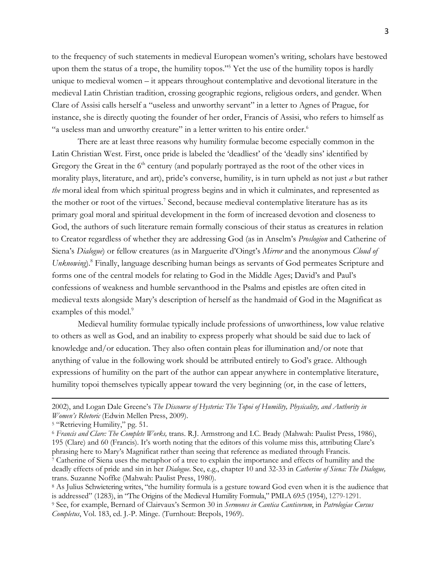to the frequency of such statements in medieval European women's writing, scholars have bestowed upon them the status of a trope, the humility topos."5 Yet the use of the humility topos is hardly unique to medieval women – it appears throughout contemplative and devotional literature in the medieval Latin Christian tradition, crossing geographic regions, religious orders, and gender. When Clare of Assisi calls herself a "useless and unworthy servant" in a letter to Agnes of Prague, for instance, she is directly quoting the founder of her order, Francis of Assisi, who refers to himself as "a useless man and unworthy creature" in a letter written to his entire order.<sup>6</sup>

There are at least three reasons why humility formulae become especially common in the Latin Christian West. First, once pride is labeled the 'deadliest' of the 'deadly sins' identified by Gregory the Great in the  $6<sup>th</sup>$  century (and popularly portrayed as the root of the other vices in morality plays, literature, and art), pride's converse, humility, is in turn upheld as not just *a* but rather *the* moral ideal from which spiritual progress begins and in which it culminates, and represented as the mother or root of the virtues. <sup>7</sup> Second, because medieval contemplative literature has as its primary goal moral and spiritual development in the form of increased devotion and closeness to God, the authors of such literature remain formally conscious of their status as creatures in relation to Creator regardless of whether they are addressing God (as in Anselm's *Proslogion* and Catherine of Siena's *Dialogue*) or fellow creatures (as in Marguerite d'Oingt's *Mirror* and the anonymous *Cloud of Unknowing*).8 Finally, language describing human beings as servants of God permeates Scripture and forms one of the central models for relating to God in the Middle Ages; David's and Paul's confessions of weakness and humble servanthood in the Psalms and epistles are often cited in medieval texts alongside Mary's description of herself as the handmaid of God in the Magnificat as examples of this model.<sup>9</sup>

Medieval humility formulae typically include professions of unworthiness, low value relative to others as well as God, and an inability to express properly what should be said due to lack of knowledge and/or education. They also often contain pleas for illumination and/or note that anything of value in the following work should be attributed entirely to God's grace. Although expressions of humility on the part of the author can appear anywhere in contemplative literature, humility topoi themselves typically appear toward the very beginning (or, in the case of letters,

<sup>2002),</sup> and Logan Dale Greene's *The Discourse of Hysteria: The Topoi of Humility, Physicality, and Authority in Women's Rhetoric* (Edwin Mellen Press, 2009).

<sup>5</sup> "Retrieving Humility," pg. 51.

<sup>6</sup> *Francis and Clare: The Complete Works,* trans. R.J. Armstrong and I.C. Brady (Mahwah: Paulist Press, 1986), 195 (Clare) and 60 (Francis). It's worth noting that the editors of this volume miss this, attributing Clare's phrasing here to Mary's Magnificat rather than seeing that reference as mediated through Francis.

<sup>7</sup> Catherine of Siena uses the metaphor of a tree to explain the importance and effects of humility and the deadly effects of pride and sin in her *Dialogue*. See, e.g., chapter 10 and 32-33 in *Catherine of Siena: The Dialogue,*  trans. Suzanne Noffke (Mahwah: Paulist Press, 1980).

<sup>8</sup> As Julius Schwietering writes, "the humility formula is a gesture toward God even when it is the audience that is addressed" (1283), in "The Origins of the Medieval Humility Formula," PMLA 69:5 (1954), 1279-1291.

<sup>9</sup> See, for example, Bernard of Clairvaux's Sermon 30 in *Sermones in Cantica Canticorum*, in *Patrologiae Cursus Completus*, Vol. 183, ed. J.-P. Minge. (Turnhout: Brepols, 1969).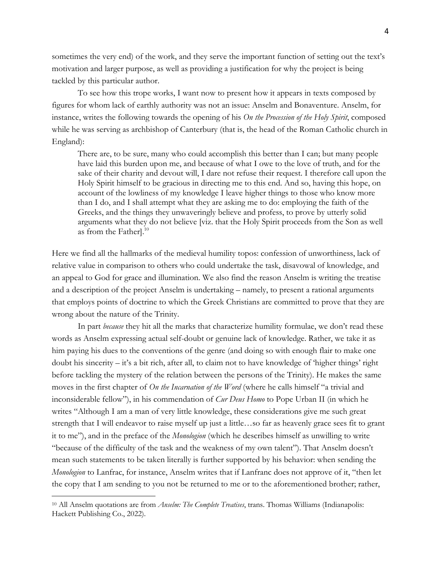sometimes the very end) of the work, and they serve the important function of setting out the text's motivation and larger purpose, as well as providing a justification for why the project is being tackled by this particular author.

To see how this trope works, I want now to present how it appears in texts composed by figures for whom lack of earthly authority was not an issue: Anselm and Bonaventure. Anselm, for instance, writes the following towards the opening of his *On the Procession of the Holy Spirit*, composed while he was serving as archbishop of Canterbury (that is, the head of the Roman Catholic church in England):

There are, to be sure, many who could accomplish this better than I can; but many people have laid this burden upon me, and because of what I owe to the love of truth, and for the sake of their charity and devout will, I dare not refuse their request. I therefore call upon the Holy Spirit himself to be gracious in directing me to this end. And so, having this hope, on account of the lowliness of my knowledge I leave higher things to those who know more than I do, and I shall attempt what they are asking me to do: employing the faith of the Greeks, and the things they unwaveringly believe and profess, to prove by utterly solid arguments what they do not believe [viz. that the Holy Spirit proceeds from the Son as well as from the Father]. 10

Here we find all the hallmarks of the medieval humility topos: confession of unworthiness, lack of relative value in comparison to others who could undertake the task, disavowal of knowledge, and an appeal to God for grace and illumination. We also find the reason Anselm is writing the treatise and a description of the project Anselm is undertaking – namely, to present a rational arguments that employs points of doctrine to which the Greek Christians are committed to prove that they are wrong about the nature of the Trinity.

In part *because* they hit all the marks that characterize humility formulae, we don't read these words as Anselm expressing actual self-doubt or genuine lack of knowledge. Rather, we take it as him paying his dues to the conventions of the genre (and doing so with enough flair to make one doubt his sincerity – it's a bit rich, after all, to claim not to have knowledge of 'higher things' right before tackling the mystery of the relation between the persons of the Trinity). He makes the same moves in the first chapter of *On the Incarnation of the Word* (where he calls himself "a trivial and inconsiderable fellow"), in his commendation of *Cur Deus Homo* to Pope Urban II (in which he writes "Although I am a man of very little knowledge, these considerations give me such great strength that I will endeavor to raise myself up just a little…so far as heavenly grace sees fit to grant it to me"), and in the preface of the *Monologion* (which he describes himself as unwilling to write "because of the difficulty of the task and the weakness of my own talent"). That Anselm doesn't mean such statements to be taken literally is further supported by his behavior: when sending the *Monologion* to Lanfrac, for instance, Anselm writes that if Lanfranc does not approve of it, "then let the copy that I am sending to you not be returned to me or to the aforementioned brother; rather,

<sup>10</sup> All Anselm quotations are from *Anselm: The Complete Treatises*, trans. Thomas Williams (Indianapolis: Hackett Publishing Co., 2022).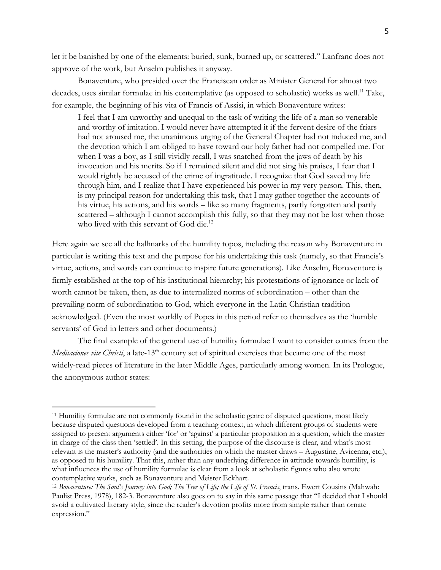let it be banished by one of the elements: buried, sunk, burned up, or scattered." Lanfranc does not approve of the work, but Anselm publishes it anyway.

Bonaventure, who presided over the Franciscan order as Minister General for almost two decades, uses similar formulae in his contemplative (as opposed to scholastic) works as well.<sup>11</sup> Take, for example, the beginning of his vita of Francis of Assisi, in which Bonaventure writes:

I feel that I am unworthy and unequal to the task of writing the life of a man so venerable and worthy of imitation. I would never have attempted it if the fervent desire of the friars had not aroused me, the unanimous urging of the General Chapter had not induced me, and the devotion which I am obliged to have toward our holy father had not compelled me. For when I was a boy, as I still vividly recall, I was snatched from the jaws of death by his invocation and his merits. So if I remained silent and did not sing his praises, I fear that I would rightly be accused of the crime of ingratitude. I recognize that God saved my life through him, and I realize that I have experienced his power in my very person. This, then, is my principal reason for undertaking this task, that I may gather together the accounts of his virtue, his actions, and his words – like so many fragments, partly forgotten and partly scattered – although I cannot accomplish this fully, so that they may not be lost when those who lived with this servant of God die.<sup>12</sup>

Here again we see all the hallmarks of the humility topos, including the reason why Bonaventure in particular is writing this text and the purpose for his undertaking this task (namely, so that Francis's virtue, actions, and words can continue to inspire future generations). Like Anselm, Bonaventure is firmly established at the top of his institutional hierarchy; his protestations of ignorance or lack of worth cannot be taken, then, as due to internalized norms of subordination – other than the prevailing norm of subordination to God, which everyone in the Latin Christian tradition acknowledged. (Even the most worldly of Popes in this period refer to themselves as the 'humble servants' of God in letters and other documents.)

The final example of the general use of humility formulae I want to consider comes from the *Meditaciones vite Christi*, a late-13<sup>th</sup> century set of spiritual exercises that became one of the most widely-read pieces of literature in the later Middle Ages, particularly among women. In its Prologue, the anonymous author states:

<sup>11</sup> Humility formulae are not commonly found in the scholastic genre of disputed questions, most likely because disputed questions developed from a teaching context, in which different groups of students were assigned to present arguments either 'for' or 'against' a particular proposition in a question, which the master in charge of the class then 'settled'. In this setting, the purpose of the discourse is clear, and what's most relevant is the master's authority (and the authorities on which the master draws – Augustine, Avicenna, etc.), as opposed to his humility. That this, rather than any underlying difference in attitude towards humility, is what influences the use of humility formulae is clear from a look at scholastic figures who also wrote contemplative works, such as Bonaventure and Meister Eckhart.

<sup>12</sup> *Bonaventure: The Soul's Journey into God; The Tree of Life; the Life of St. Francis*, trans. Ewert Cousins (Mahwah: Paulist Press, 1978), 182-3. Bonaventure also goes on to say in this same passage that "I decided that I should avoid a cultivated literary style, since the reader's devotion profits more from simple rather than ornate expression."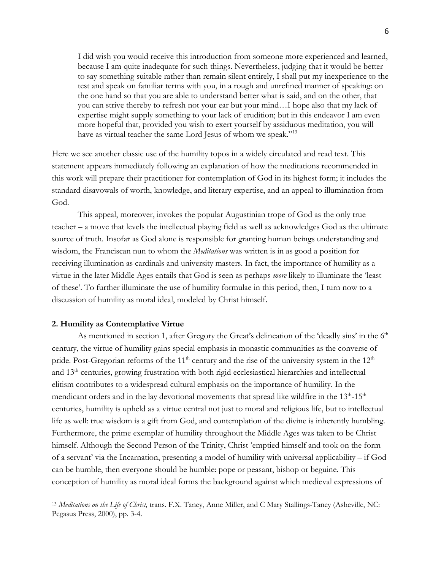I did wish you would receive this introduction from someone more experienced and learned, because I am quite inadequate for such things. Nevertheless, judging that it would be better to say something suitable rather than remain silent entirely, I shall put my inexperience to the test and speak on familiar terms with you, in a rough and unrefined manner of speaking: on the one hand so that you are able to understand better what is said, and on the other, that you can strive thereby to refresh not your ear but your mind…I hope also that my lack of expertise might supply something to your lack of erudition; but in this endeavor I am even more hopeful that, provided you wish to exert yourself by assiduous meditation, you will have as virtual teacher the same Lord Jesus of whom we speak."<sup>13</sup>

Here we see another classic use of the humility topos in a widely circulated and read text. This statement appears immediately following an explanation of how the meditations recommended in this work will prepare their practitioner for contemplation of God in its highest form; it includes the standard disavowals of worth, knowledge, and literary expertise, and an appeal to illumination from God.

This appeal, moreover, invokes the popular Augustinian trope of God as the only true teacher – a move that levels the intellectual playing field as well as acknowledges God as the ultimate source of truth. Insofar as God alone is responsible for granting human beings understanding and wisdom, the Franciscan nun to whom the *Meditations* was written is in as good a position for receiving illumination as cardinals and university masters. In fact, the importance of humility as a virtue in the later Middle Ages entails that God is seen as perhaps *more* likely to illuminate the 'least of these'. To further illuminate the use of humility formulae in this period, then, I turn now to a discussion of humility as moral ideal, modeled by Christ himself.

## **2. Humility as Contemplative Virtue**

As mentioned in section 1, after Gregory the Great's delineation of the 'deadly sins' in the  $6<sup>th</sup>$ century, the virtue of humility gains special emphasis in monastic communities as the converse of pride. Post-Gregorian reforms of the  $11<sup>th</sup>$  century and the rise of the university system in the  $12<sup>th</sup>$ and 13th centuries, growing frustration with both rigid ecclesiastical hierarchies and intellectual elitism contributes to a widespread cultural emphasis on the importance of humility. In the mendicant orders and in the lay devotional movements that spread like wildfire in the 13<sup>th</sup>-15<sup>th</sup> centuries, humility is upheld as a virtue central not just to moral and religious life, but to intellectual life as well: true wisdom is a gift from God, and contemplation of the divine is inherently humbling. Furthermore, the prime exemplar of humility throughout the Middle Ages was taken to be Christ himself. Although the Second Person of the Trinity, Christ 'emptied himself and took on the form of a servant' via the Incarnation, presenting a model of humility with universal applicability – if God can be humble, then everyone should be humble: pope or peasant, bishop or beguine. This conception of humility as moral ideal forms the background against which medieval expressions of

<sup>13</sup> *Meditations on the Life of Christ,* trans. F.X. Taney, Anne Miller, and C Mary Stallings-Taney (Asheville, NC: Pegasus Press, 2000), pp. 3-4.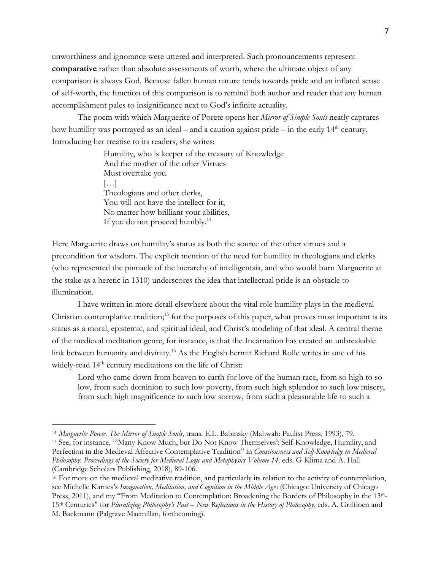unworthiness and ignorance were uttered and interpreted. Such pronouncements represent **comparative** rather than absolute assessments of worth, where the ultimate object of any comparison is always God*.* Because fallen human nature tends towards pride and an inflated sense of self-worth, the function of this comparison is to remind both author and reader that any human accomplishment pales to insignificance next to God's infinite actuality.

The poem with which Marguerite of Porete opens her *Mirror of Simple Souls* neatly captures how humility was portrayed as an ideal – and a caution against pride – in the early  $14<sup>th</sup>$  century. Introducing her treatise to its readers, she writes:

> Humility, who is keeper of the treasury of Knowledge And the mother of the other Virtues Must overtake you. […] Theologians and other clerks, You will not have the intellect for it, No matter how brilliant your abilities, If you do not proceed humbly.<sup>14</sup>

Here Marguerite draws on humility's status as both the source of the other virtues and a precondition for wisdom. The explicit mention of the need for humility in theologians and clerks (who represented the pinnacle of the hierarchy of intelligentsia, and who would burn Marguerite at the stake as a heretic in 1310) underscores the idea that intellectual pride is an obstacle to illumination.

I have written in more detail elsewhere about the vital role humility plays in the medieval Christian contemplative tradition;<sup>15</sup> for the purposes of this paper, what proves most important is its status as a moral, epistemic, and spiritual ideal, and Christ's modeling of that ideal. A central theme of the medieval meditation genre, for instance, is that the Incarnation has created an unbreakable link between humanity and divinity.16 As the English hermit Richard Rolle writes in one of his widely-read 14<sup>th</sup> century meditations on the life of Christ:

Lord who came down from heaven to earth for love of the human race, from so high to so low, from such dominion to such low poverty, from such high splendor to such low misery, from such high magnificence to such low sorrow, from such a pleasurable life to such a

<sup>14</sup> *Marguerite Porete. The Mirror of Simple Souls*, trans. E.L. Babinsky (Mahwah: Paulist Press, 1993), 79. <sup>15</sup> See, for instance, "'Many Know Much, but Do Not Know Themselves': Self-Knowledge, Humility, and Perfection in the Medieval Affective Contemplative Tradition" in *Consciousness and Self-Knowledge in Medieval Philosophy*: *Proceedings of the Society for Medieval Logic and Metaphysics Volume 14,* eds. G Klima and A. Hall (Cambridge Scholars Publishing, 2018), 89-106.<br><sup>16</sup> For more on the medieval meditative tradition, and particularly its relation to the activity of contemplation,

see Michelle Karnes's *Imagination, Meditation, and Cognition in the Middle Ages* (Chicago: University of Chicago Press, 2011), and my "From Meditation to Contemplation: Broadening the Borders of Philosophy in the 13th-15th Centuries" for *Pluralizing Philosophy's Past – New Reflections in the History of Philosophy*, eds. A. Griffioen and M. Backmann (Palgrave Macmillan, forthcoming).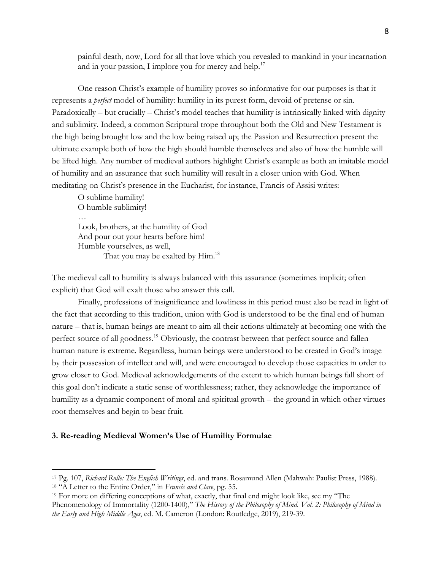painful death, now, Lord for all that love which you revealed to mankind in your incarnation and in your passion, I implore you for mercy and help.<sup>17</sup>

One reason Christ's example of humility proves so informative for our purposes is that it represents a *perfect* model of humility: humility in its purest form, devoid of pretense or sin. Paradoxically – but crucially – Christ's model teaches that humility is intrinsically linked with dignity and sublimity. Indeed, a common Scriptural trope throughout both the Old and New Testament is the high being brought low and the low being raised up; the Passion and Resurrection present the ultimate example both of how the high should humble themselves and also of how the humble will be lifted high. Any number of medieval authors highlight Christ's example as both an imitable model of humility and an assurance that such humility will result in a closer union with God. When meditating on Christ's presence in the Eucharist, for instance, Francis of Assisi writes:

O sublime humility! O humble sublimity! … Look, brothers, at the humility of God And pour out your hearts before him! Humble yourselves, as well, That you may be exalted by Him.<sup>18</sup>

The medieval call to humility is always balanced with this assurance (sometimes implicit; often explicit) that God will exalt those who answer this call.

Finally, professions of insignificance and lowliness in this period must also be read in light of the fact that according to this tradition, union with God is understood to be the final end of human nature – that is, human beings are meant to aim all their actions ultimately at becoming one with the perfect source of all goodness.<sup>19</sup> Obviously, the contrast between that perfect source and fallen human nature is extreme. Regardless, human beings were understood to be created in God's image by their possession of intellect and will, and were encouraged to develop those capacities in order to grow closer to God. Medieval acknowledgements of the extent to which human beings fall short of this goal don't indicate a static sense of worthlessness; rather, they acknowledge the importance of humility as a dynamic component of moral and spiritual growth – the ground in which other virtues root themselves and begin to bear fruit.

## **3. Re-reading Medieval Women's Use of Humility Formulae**

<sup>17</sup> Pg. 107, *Richard Rolle: The English Writings*, ed. and trans. Rosamund Allen (Mahwah: Paulist Press, 1988). <sup>18</sup> "A Letter to the Entire Order," in *Francis and Clare*, pg. 55.

<sup>19</sup> For more on differing conceptions of what, exactly, that final end might look like, see my "The Phenomenology of Immortality (1200-1400)," *The History of the Philosophy of Mind*. *Vol. 2: Philosophy of Mind in the Early and High Middle Ages*, ed. M. Cameron (London: Routledge, 2019), 219-39.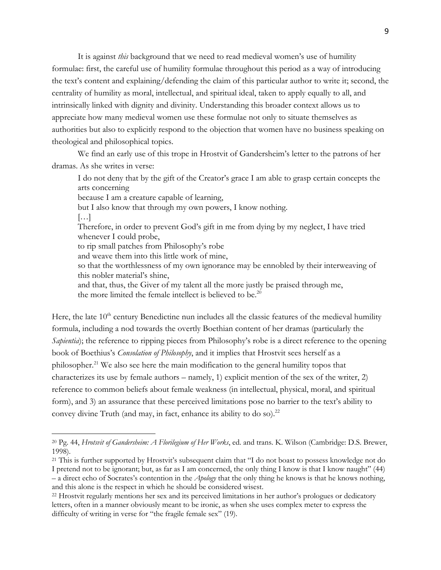It is against *this* background that we need to read medieval women's use of humility formulae: first, the careful use of humility formulae throughout this period as a way of introducing the text's content and explaining/defending the claim of this particular author to write it; second, the centrality of humility as moral, intellectual, and spiritual ideal, taken to apply equally to all, and intrinsically linked with dignity and divinity. Understanding this broader context allows us to appreciate how many medieval women use these formulae not only to situate themselves as authorities but also to explicitly respond to the objection that women have no business speaking on theological and philosophical topics.

We find an early use of this trope in Hrostvit of Gandersheim's letter to the patrons of her dramas. As she writes in verse:

I do not deny that by the gift of the Creator's grace I am able to grasp certain concepts the arts concerning

because I am a creature capable of learning,

but I also know that through my own powers, I know nothing.

 $\left[\ldots\right]$ 

Therefore, in order to prevent God's gift in me from dying by my neglect, I have tried whenever I could probe,

to rip small patches from Philosophy's robe

and weave them into this little work of mine,

so that the worthlessness of my own ignorance may be ennobled by their interweaving of this nobler material's shine,

and that, thus, the Giver of my talent all the more justly be praised through me, the more limited the female intellect is believed to be.<sup>20</sup>

Here, the late 10<sup>th</sup> century Benedictine nun includes all the classic features of the medieval humility formula, including a nod towards the overtly Boethian content of her dramas (particularly the *Sapientia*); the reference to ripping pieces from Philosophy's robe is a direct reference to the opening book of Boethius's *Consolation of Philosophy*, and it implies that Hrostvit sees herself as a philosopher.21 We also see here the main modification to the general humility topos that characterizes its use by female authors – namely, 1) explicit mention of the sex of the writer, 2) reference to common beliefs about female weakness (in intellectual, physical, moral, and spiritual form), and 3) an assurance that these perceived limitations pose no barrier to the text's ability to convey divine Truth (and may, in fact, enhance its ability to do so).<sup>22</sup>

<sup>20</sup> Pg. 44, *Hrotsvit of Gandersheim: A Florilegium of Her Works*, ed. and trans. K. Wilson (Cambridge: D.S. Brewer, 1998).

<sup>&</sup>lt;sup>21</sup> This is further supported by Hrostvit's subsequent claim that "I do not boast to possess knowledge not do I pretend not to be ignorant; but, as far as I am concerned, the only thing I know is that I know naught" (44) – a direct echo of Socrates's contention in the *Apology* that the only thing he knows is that he knows nothing, and this alone is the respect in which he should be considered wisest.

<sup>22</sup> Hrostvit regularly mentions her sex and its perceived limitations in her author's prologues or dedicatory letters, often in a manner obviously meant to be ironic, as when she uses complex meter to express the difficulty of writing in verse for "the fragile female sex" (19).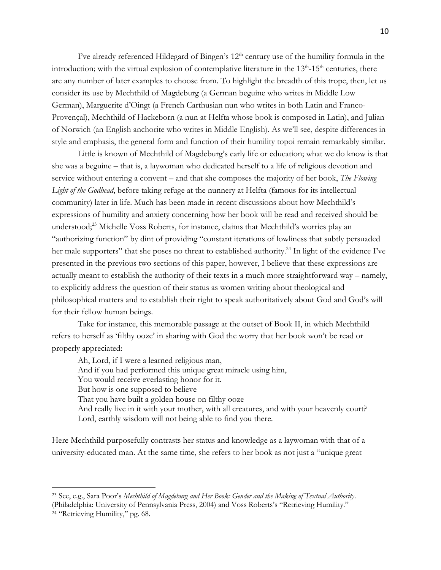I've already referenced Hildegard of Bingen's  $12<sup>th</sup>$  century use of the humility formula in the introduction; with the virtual explosion of contemplative literature in the 13<sup>th</sup>-15<sup>th</sup> centuries, there are any number of later examples to choose from. To highlight the breadth of this trope, then, let us consider its use by Mechthild of Magdeburg (a German beguine who writes in Middle Low German), Marguerite d'Oingt (a French Carthusian nun who writes in both Latin and Franco-Provençal), Mechthild of Hackeborn (a nun at Helfta whose book is composed in Latin), and Julian of Norwich (an English anchorite who writes in Middle English). As we'll see, despite differences in style and emphasis, the general form and function of their humility topoi remain remarkably similar.

Little is known of Mechthild of Magdeburg's early life or education; what we do know is that she was a beguine – that is, a laywoman who dedicated herself to a life of religious devotion and service without entering a convent – and that she composes the majority of her book, *The Flowing Light of the Godhead*, before taking refuge at the nunnery at Helfta (famous for its intellectual community) later in life. Much has been made in recent discussions about how Mechthild's expressions of humility and anxiety concerning how her book will be read and received should be understood; <sup>23</sup> Michelle Voss Roberts, for instance, claims that Mechthild's worries play an "authorizing function" by dint of providing "constant iterations of lowliness that subtly persuaded her male supporters" that she poses no threat to established authority.<sup>24</sup> In light of the evidence I've presented in the previous two sections of this paper, however, I believe that these expressions are actually meant to establish the authority of their texts in a much more straightforward way – namely, to explicitly address the question of their status as women writing about theological and philosophical matters and to establish their right to speak authoritatively about God and God's will for their fellow human beings.

Take for instance, this memorable passage at the outset of Book II, in which Mechthild refers to herself as 'filthy ooze' in sharing with God the worry that her book won't be read or properly appreciated:

Ah, Lord, if I were a learned religious man, And if you had performed this unique great miracle using him, You would receive everlasting honor for it. But how is one supposed to believe That you have built a golden house on filthy ooze And really live in it with your mother, with all creatures, and with your heavenly court? Lord, earthly wisdom will not being able to find you there.

Here Mechthild purposefully contrasts her status and knowledge as a laywoman with that of a university-educated man. At the same time, she refers to her book as not just a "unique great

<sup>23</sup> See, e.g., Sara Poor's *Mechthild of Magdeburg and Her Book: Gender and the Making of Textual Authority*. (Philadelphia: University of Pennsylvania Press, 2004) and Voss Roberts's "Retrieving Humility."

<sup>24</sup> "Retrieving Humility," pg. 68.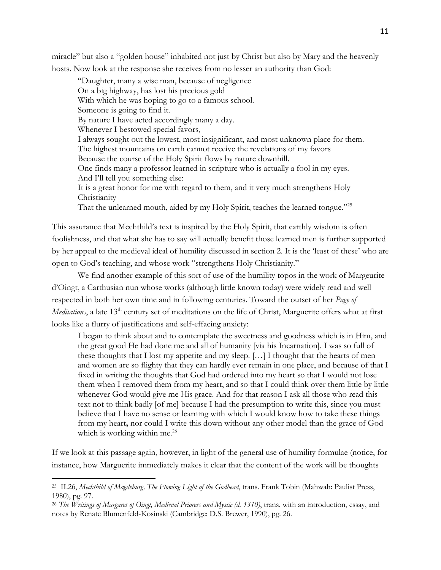miracle" but also a "golden house" inhabited not just by Christ but also by Mary and the heavenly hosts. Now look at the response she receives from no lesser an authority than God:

"Daughter, many a wise man, because of negligence On a big highway, has lost his precious gold With which he was hoping to go to a famous school. Someone is going to find it. By nature I have acted accordingly many a day. Whenever I bestowed special favors, I always sought out the lowest, most insignificant, and most unknown place for them. The highest mountains on earth cannot receive the revelations of my favors Because the course of the Holy Spirit flows by nature downhill. One finds many a professor learned in scripture who is actually a fool in my eyes. And I'll tell you something else: It is a great honor for me with regard to them, and it very much strengthens Holy **Christianity** That the unlearned mouth, aided by my Holy Spirit, teaches the learned tongue."<sup>25</sup>

This assurance that Mechthild's text is inspired by the Holy Spirit, that earthly wisdom is often foolishness, and that what she has to say will actually benefit those learned men is further supported by her appeal to the medieval ideal of humility discussed in section 2. It is the 'least of these' who are open to God's teaching, and whose work "strengthens Holy Christianity."

We find another example of this sort of use of the humility topos in the work of Margeurite d'Oingt, a Carthusian nun whose works (although little known today) were widely read and well respected in both her own time and in following centuries. Toward the outset of her *Page of Meditations*, a late 13<sup>th</sup> century set of meditations on the life of Christ, Marguerite offers what at first looks like a flurry of justifications and self-effacing anxiety:

I began to think about and to contemplate the sweetness and goodness which is in Him, and the great good He had done me and all of humanity [via his Incarnation]. I was so full of these thoughts that I lost my appetite and my sleep. […] I thought that the hearts of men and women are so flighty that they can hardly ever remain in one place, and because of that I fixed in writing the thoughts that God had ordered into my heart so that I would not lose them when I removed them from my heart, and so that I could think over them little by little whenever God would give me His grace. And for that reason I ask all those who read this text not to think badly [of me] because I had the presumption to write this, since you must believe that I have no sense or learning with which I would know how to take these things from my heart**,** nor could I write this down without any other model than the grace of God which is working within me. $^{26}$ 

If we look at this passage again, however, in light of the general use of humility formulae (notice, for instance, how Marguerite immediately makes it clear that the content of the work will be thoughts

<sup>25</sup> II.26, *Mechthild of Magdeburg, The Flowing Light of the Godhead*, trans. Frank Tobin (Mahwah: Paulist Press, 1980), pg. 97.

<sup>26</sup> *The Writings of Margaret of Oingt, Medieval Prioress and Mystic (d. 1310)*, trans. with an introduction, essay, and notes by Renate Blumenfeld-Kosinski (Cambridge: D.S. Brewer, 1990), pg. 26.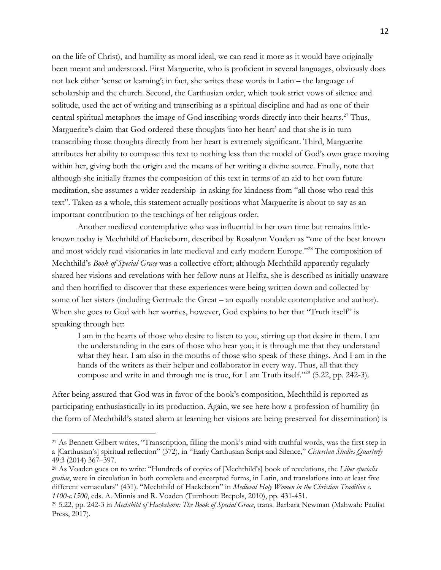on the life of Christ), and humility as moral ideal, we can read it more as it would have originally been meant and understood. First Marguerite, who is proficient in several languages, obviously does not lack either 'sense or learning'; in fact, she writes these words in Latin – the language of scholarship and the church. Second, the Carthusian order, which took strict vows of silence and solitude, used the act of writing and transcribing as a spiritual discipline and had as one of their central spiritual metaphors the image of God inscribing words directly into their hearts.<sup>27</sup> Thus, Marguerite's claim that God ordered these thoughts 'into her heart' and that she is in turn transcribing those thoughts directly from her heart is extremely significant. Third, Marguerite attributes her ability to compose this text to nothing less than the model of God's own grace moving within her, giving both the origin and the means of her writing a divine source. Finally, note that although she initially frames the composition of this text in terms of an aid to her own future meditation, she assumes a wider readership in asking for kindness from "all those who read this text". Taken as a whole, this statement actually positions what Marguerite is about to say as an important contribution to the teachings of her religious order.

Another medieval contemplative who was influential in her own time but remains littleknown today is Mechthild of Hackeborn, described by Rosalynn Voaden as "one of the best known and most widely read visionaries in late medieval and early modern Europe."<sup>28</sup> The composition of Mechthild's *Book of Special Grace* was a collective effort; although Mechthild apparently regularly shared her visions and revelations with her fellow nuns at Helfta, she is described as initially unaware and then horrified to discover that these experiences were being written down and collected by some of her sisters (including Gertrude the Great – an equally notable contemplative and author). When she goes to God with her worries, however, God explains to her that "Truth itself" is speaking through her:

I am in the hearts of those who desire to listen to you, stirring up that desire in them. I am the understanding in the ears of those who hear you; it is through me that they understand what they hear. I am also in the mouths of those who speak of these things. And I am in the hands of the writers as their helper and collaborator in every way. Thus, all that they compose and write in and through me is true, for I am Truth itself."29 (5.22, pp. 242-3).

After being assured that God was in favor of the book's composition, Mechthild is reported as participating enthusiastically in its production. Again, we see here how a profession of humility (in the form of Mechthild's stated alarm at learning her visions are being preserved for dissemination) is

<sup>&</sup>lt;sup>27</sup> As Bennett Gilbert writes, "Transcription, filling the monk's mind with truthful words, was the first step in a [Carthusian's] spiritual reflection" (372), in "Early Carthusian Script and Silence," *Cistercian Studies Quarterly* 49:3 (2014) 367–397.

<sup>28</sup> As Voaden goes on to write: "Hundreds of copies of [Mechthild's] book of revelations, the *Liber specialis gratiae*, were in circulation in both complete and excerpted forms, in Latin, and translations into at least five different vernaculars" (431). "Mechthild of Hackeborn" in *Medieval Holy Women in the Christian Tradition c. 1100-c.1500*, eds. A. Minnis and R. Voaden (Turnhout: Brepols, 2010), pp. 431-451.

<sup>29</sup> 5.22, pp. 242-3 in *Mechthild of Hackeborn: The Book of Special Grace*, trans. Barbara Newman (Mahwah: Paulist Press, 2017).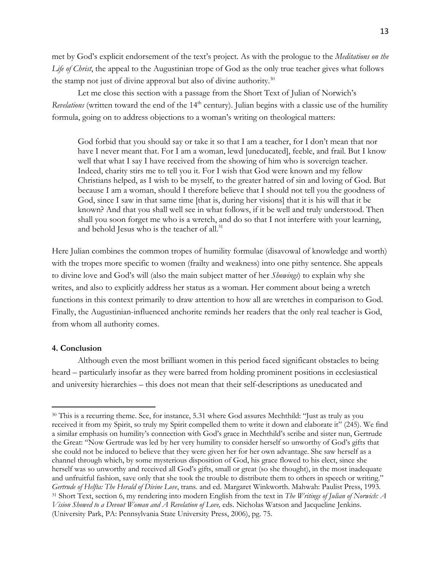met by God's explicit endorsement of the text's project. As with the prologue to the *Meditations on the Life of Christ*, the appeal to the Augustinian trope of God as the only true teacher gives what follows the stamp not just of divine approval but also of divine authority.<sup>30</sup>

Let me close this section with a passage from the Short Text of Julian of Norwich's *Revelations* (written toward the end of the 14<sup>th</sup> century). Julian begins with a classic use of the humility formula, going on to address objections to a woman's writing on theological matters:

God forbid that you should say or take it so that I am a teacher, for I don't mean that nor have I never meant that. For I am a woman, lewd [uneducated], feeble, and frail. But I know well that what I say I have received from the showing of him who is sovereign teacher. Indeed, charity stirs me to tell you it. For I wish that God were known and my fellow Christians helped, as I wish to be myself, to the greater hatred of sin and loving of God. But because I am a woman, should I therefore believe that I should not tell you the goodness of God, since I saw in that same time [that is, during her visions] that it is his will that it be known? And that you shall well see in what follows, if it be well and truly understood. Then shall you soon forget me who is a wretch, and do so that I not interfere with your learning, and behold Jesus who is the teacher of all.<sup>31</sup>

Here Julian combines the common tropes of humility formulae (disavowal of knowledge and worth) with the tropes more specific to women (frailty and weakness) into one pithy sentence. She appeals to divine love and God's will (also the main subject matter of her *Showings*) to explain why she writes, and also to explicitly address her status as a woman. Her comment about being a wretch functions in this context primarily to draw attention to how all are wretches in comparison to God. Finally, the Augustinian-influenced anchorite reminds her readers that the only real teacher is God, from whom all authority comes.

#### **4. Conclusion**

Although even the most brilliant women in this period faced significant obstacles to being heard – particularly insofar as they were barred from holding prominent positions in ecclesiastical and university hierarchies – this does not mean that their self-descriptions as uneducated and

<sup>30</sup> This is a recurring theme. See, for instance, 5.31 where God assures Mechthild: "Just as truly as you received it from my Spirit, so truly my Spirit compelled them to write it down and elaborate it" (245). We find a similar emphasis on humility's connection with God's grace in Mechthild's scribe and sister nun, Gertrude the Great: "Now Gertrude was led by her very humility to consider herself so unworthy of God's gifts that she could not be induced to believe that they were given her for her own advantage. She saw herself as a channel through which, by some mysterious disposition of God, his grace flowed to his elect, since she herself was so unworthy and received all God's gifts, small or great (so she thought), in the most inadequate and unfruitful fashion, save only that she took the trouble to distribute them to others in speech or writing." *Gertrude of Helfta: The Herald of Divine Love*, trans. and ed. Margaret Winkworth. Mahwah: Paulist Press, 1993. <sup>31</sup> Short Text, section 6, my rendering into modern English from the text in *The Writings of Julian of Norwich: A Vision Showed to a Devout Woman and A Revelation of Love,* eds. Nicholas Watson and Jacqueline Jenkins. (University Park, PA: Pennsylvania State University Press, 2006), pg. 75.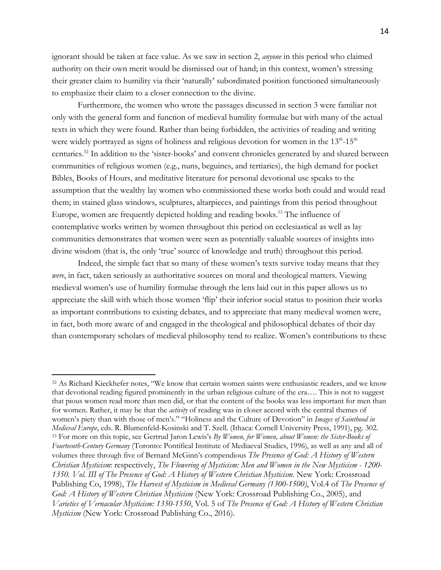ignorant should be taken at face value. As we saw in section 2, *anyone* in this period who claimed authority on their own merit would be dismissed out of hand; in this context, women's stressing their greater claim to humility via their 'naturally' subordinated position functioned simultaneously to emphasize their claim to a closer connection to the divine.

Furthermore, the women who wrote the passages discussed in section 3 were familiar not only with the general form and function of medieval humility formulae but with many of the actual texts in which they were found. Rather than being forbidden, the activities of reading and writing were widely portrayed as signs of holiness and religious devotion for women in the  $13<sup>th</sup>$ -15<sup>th</sup> centuries. <sup>32</sup> In addition to the 'sister-books' and convent chronicles generated by and shared between communities of religious women (e.g., nuns, beguines, and tertiaries), the high demand for pocket Bibles, Books of Hours, and meditative literature for personal devotional use speaks to the assumption that the wealthy lay women who commissioned these works both could and would read them; in stained glass windows, sculptures, altarpieces, and paintings from this period throughout Europe, women are frequently depicted holding and reading books.<sup>33</sup> The influence of contemplative works written by women throughout this period on ecclesiastical as well as lay communities demonstrates that women were seen as potentially valuable sources of insights into divine wisdom (that is, the only 'true' source of knowledge and truth) throughout this period.

Indeed, the simple fact that so many of these women's texts survive today means that they *were*, in fact, taken seriously as authoritative sources on moral and theological matters. Viewing medieval women's use of humility formulae through the lens laid out in this paper allows us to appreciate the skill with which those women 'flip' their inferior social status to position their works as important contributions to existing debates, and to appreciate that many medieval women were, in fact, both more aware of and engaged in the theological and philosophical debates of their day than contemporary scholars of medieval philosophy tend to realize. Women's contributions to these

<sup>32</sup> As Richard Kieckhefer notes, "We know that certain women saints were enthusiastic readers, and we know that devotional reading figured prominently in the urban religious culture of the era…. This is not to suggest that pious women read more than men did, or that the content of the books was less important for men than for women. Rather, it may be that the *activity* of reading was in closer accord with the central themes of women's piety than with those of men's." "Holiness and the Culture of Devotion" in *Images of Sainthood in Medieval Europe*, eds. R. Blumenfeld-Kosinski and T. Szell. (Ithaca: Cornell University Press, 1991), pg. 302. <sup>33</sup> For more on this topic, see Gertrud Jaron Lewis's *By Women, for Women, about Women: the Sister-Books of Fourteenth-Century Germany* (Toronto: Pontifical Institute of Mediaeval Studies, 1996), as well as any and all of volumes three through five of Bernard McGinn's compendious *The Presence of God: A History of Western Christian Mysticism*: respectively, *The Flowering of Mysticism: Men and Women in the New Mysticism - 1200- 1350. Vol. III of The Presence of God: A History of Western Christian Mysticism*. New York: Crossroad Publishing Co, 1998), *The Harvest of Mysticism in Medieval Germany (1300-1500)*, Vol.4 of *The Presence of God: A History of Western Christian Mysticism* (New York: Crossroad Publishing Co., 2005), and *Varieties of Vernacular Mysticism: 1350-1550*, Vol. 5 of *The Presence of God: A History of Western Christian Mysticism* (New York: Crossroad Publishing Co., 2016).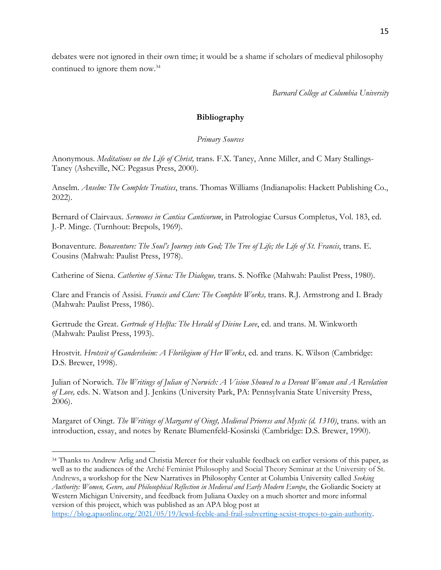debates were not ignored in their own time; it would be a shame if scholars of medieval philosophy continued to ignore them now. 34

*Barnard College at Columbia University*

# **Bibliography**

*Primary Sources*

Anonymous. *Meditations on the Life of Christ,* trans. F.X. Taney, Anne Miller, and C Mary Stallings-Taney (Asheville, NC: Pegasus Press, 2000).

Anselm. *Anselm: The Complete Treatises*, trans. Thomas Williams (Indianapolis: Hackett Publishing Co., 2022).

Bernard of Clairvaux. *Sermones in Cantica Canticorum*, in Patrologiae Cursus Completus, Vol. 183, ed. J.-P. Minge. (Turnhout: Brepols, 1969).

Bonaventure. *Bonaventure: The Soul's Journey into God; The Tree of Life; the Life of St. Francis*, trans. E. Cousins (Mahwah: Paulist Press, 1978).

Catherine of Siena. *Catherine of Siena: The Dialogue,* trans. S. Noffke (Mahwah: Paulist Press, 1980).

Clare and Francis of Assisi. *Francis and Clare: The Complete Works,* trans. R.J. Armstrong and I. Brady (Mahwah: Paulist Press, 1986).

Gertrude the Great. *Gertrude of Helfta: The Herald of Divine Love*, ed. and trans. M. Winkworth (Mahwah: Paulist Press, 1993).

Hrostvit. *Hrotsvit of Gandersheim: A Florilegium of Her Works*, ed. and trans. K. Wilson (Cambridge: D.S. Brewer, 1998).

Julian of Norwich. *The Writings of Julian of Norwich: A Vision Showed to a Devout Woman and A Revelation of Love,* eds. N. Watson and J. Jenkins (University Park, PA: Pennsylvania State University Press, 2006).

Margaret of Oingt. *The Writings of Margaret of Oingt, Medieval Prioress and Mystic (d. 1310)*, trans. with an introduction, essay, and notes by Renate Blumenfeld-Kosinski (Cambridge: D.S. Brewer, 1990).

https://blog.apaonline.org/2021/05/19/lewd-feeble-and-frail-subverting-sexist-tropes-to-gain-authority.

<sup>34</sup> Thanks to Andrew Arlig and Christia Mercer for their valuable feedback on earlier versions of this paper, as well as to the audiences of the Arché Feminist Philosophy and Social Theory Seminar at the University of St. Andrews, a workshop for the New Narratives in Philosophy Center at Columbia University called *Seeking Authority: Women, Genre, and Philosophical Reflection in Medieval and Early Modern Europe*, the Goliardic Society at Western Michigan University, and feedback from Juliana Oaxley on a much shorter and more informal version of this project, which was published as an APA blog post at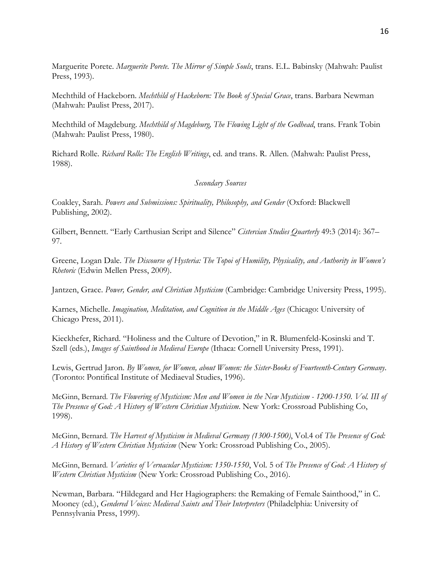Marguerite Porete. *Marguerite Porete. The Mirror of Simple Souls*, trans. E.L. Babinsky (Mahwah: Paulist Press, 1993).

Mechthild of Hackeborn. *Mechthild of Hackeborn: The Book of Special Grace*, trans. Barbara Newman (Mahwah: Paulist Press, 2017).

Mechthild of Magdeburg. *Mechthild of Magdeburg, The Flowing Light of the Godhead*, trans. Frank Tobin (Mahwah: Paulist Press, 1980).

Richard Rolle. *Richard Rolle: The English Writings*, ed. and trans. R. Allen. (Mahwah: Paulist Press, 1988).

## *Secondary Sources*

Coakley, Sarah. *Powers and Submissions: Spirituality, Philosophy, and Gender* (Oxford: Blackwell Publishing, 2002).

Gilbert, Bennett. "Early Carthusian Script and Silence" *Cistercian Studies Quarterly* 49:3 (2014): 367– 97.

Greene, Logan Dale. *The Discourse of Hysteria: The Topoi of Humility, Physicality, and Authority in Women's Rhetoric* (Edwin Mellen Press, 2009).

Jantzen, Grace. *Power, Gender, and Christian Mysticism* (Cambridge: Cambridge University Press, 1995).

Karnes, Michelle. *Imagination, Meditation, and Cognition in the Middle Ages* (Chicago: University of Chicago Press, 2011).

Kieckhefer, Richard. "Holiness and the Culture of Devotion," in R. Blumenfeld-Kosinski and T. Szell (eds.), *Images of Sainthood in Medieval Europe* (Ithaca: Cornell University Press, 1991).

Lewis, Gertrud Jaron. *By Women, for Women, about Women: the Sister-Books of Fourteenth-Century Germany*. (Toronto: Pontifical Institute of Mediaeval Studies, 1996).

McGinn, Bernard. *The Flowering of Mysticism: Men and Women in the New Mysticism - 1200-1350. Vol. III of The Presence of God: A History of Western Christian Mysticism*. New York: Crossroad Publishing Co, 1998).

McGinn, Bernard. *The Harvest of Mysticism in Medieval Germany (1300-1500)*, Vol.4 of *The Presence of God: A History of Western Christian Mysticism* (New York: Crossroad Publishing Co., 2005).

McGinn, Bernard. *Varieties of Vernacular Mysticism: 1350-1550*, Vol. 5 of *The Presence of God: A History of Western Christian Mysticism* (New York: Crossroad Publishing Co., 2016).

Newman, Barbara. "Hildegard and Her Hagiographers: the Remaking of Female Sainthood," in C. Mooney (ed.), *Gendered Voices: Medieval Saints and Their Interpreters* (Philadelphia: University of Pennsylvania Press, 1999).